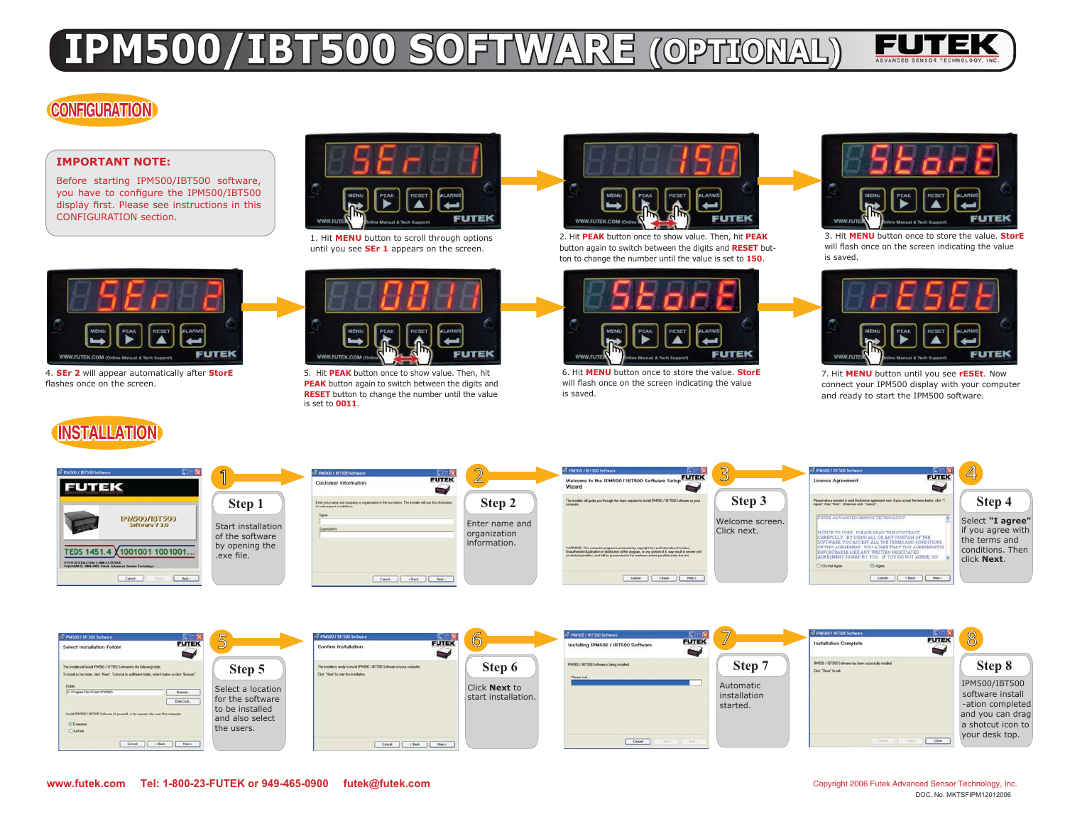# **1PM500/IBT500 SOFTWARE (OPTIO)**



### **CONFIGURATION**

#### **IMPORTANT NOTE:**

Before starting IPM500/IBT500 software, you have to configure the IPM500/IBT500 display first. Please see instructions in this CONFIGURATION section.



1. Hit MENU button to scroll through options until you see **SEr 1** appears on the screen.



2. Hit PEAK button once to show value. Then, hit PEAK button again to switch between the digits and RESET button to change the number until the value is set to  $150$ .



3. Hit **MENU** button once to store the value. StorE will flash once on the screen indicating the value is saved.



4. **SEr 2** will appear automatically after **StorE** flashes once on the screen.

### **EINSTALLATION**

Eate:<br>C Vogan Fler/Fusi/dPM30

Citizen  $O$  Autom



5. Hit PEAK button once to show value. Then, hit **PEAK** button again to switch between the digits and **RESET** button to change the number until the value is set to  $\bf0011$ .



6. Hit **MENU** button once to store the value. StorE will flash once on the screen indicating the value is saved.

 $\begin{tabular}{|c|c|c|} \hline \multicolumn{3}{|c|}{\textbf{Core}}\\ \hline \multicolumn{3}{|c|}{\textbf{Core}}\\ \hline \end{tabular}$ 

 installationstarted.



7. Hit MENU button until you see rESEt. Now connect your IPM500 display with your computer and ready to start the IPM500 software.



Click **Next** to start installation.

 $\fbox{\parbox{1.5cm} \begin{picture}(10,10) \put(0,0){\line(1,0){10}} \put(10,0){\line(1,0){10}} \put(10,0){\line(1,0){10}} \put(10,0){\line(1,0){10}} \put(10,0){\line(1,0){10}} \put(10,0){\line(1,0){10}} \put(10,0){\line(1,0){10}} \put(10,0){\line(1,0){10}} \put(10,0){\line(1,0){10}} \put(10,0){\line(1,0){10}} \put(10,0){\line(1,0){10}} \$ 

Select a location for the software to be installed and also select the users.

Done. Diek Cost

Carol Cable Het

 $\Box$  One

software install -ation completed and you can drag a shotcut icon to your desk top.